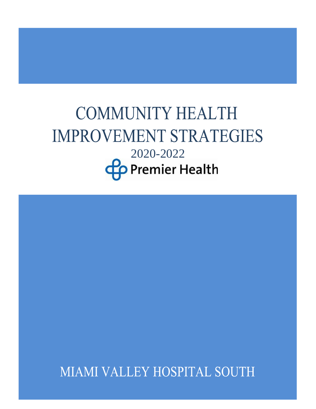# **COMMUNITY HEALTH IMPROVEMENT STRATEGIES** 2020-2022**Co** Premier Health

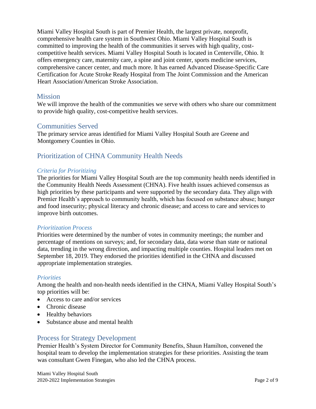Miami Valley Hospital South is part of Premier Health, the largest private, nonprofit, comprehensive health care system in Southwest Ohio. Miami Valley Hospital South is committed to improving the health of the communities it serves with high quality, costcompetitive health services. Miami Valley Hospital South is located in Centerville, Ohio. It offers emergency care, maternity care, a spine and joint center, sports medicine services, comprehensive cancer center, and much more. It has earned Advanced Disease-Specific Care Certification for Acute Stroke Ready Hospital from The Joint Commission and the American Heart Association/American Stroke Association.

## Mission

We will improve the health of the communities we serve with others who share our commitment to provide high quality, cost-competitive health services.

## Communities Served

The primary service areas identified for Miami Valley Hospital South are Greene and Montgomery Counties in Ohio.

## Prioritization of CHNA Community Health Needs

#### *Criteria for Prioritizing*

The priorities for Miami Valley Hospital South are the top community health needs identified in the Community Health Needs Assessment (CHNA). Five health issues achieved consensus as high priorities by these participants and were supported by the secondary data. They align with Premier Health's approach to community health, which has focused on substance abuse; hunger and food insecurity; physical literacy and chronic disease; and access to care and services to improve birth outcomes.

#### *Prioritization Process*

Priorities were determined by the number of votes in community meetings; the number and percentage of mentions on surveys; and, for secondary data, data worse than state or national data, trending in the wrong direction, and impacting multiple counties. Hospital leaders met on September 18, 2019. They endorsed the priorities identified in the CHNA and discussed appropriate implementation strategies.

#### *Priorities*

Among the health and non-health needs identified in the CHNA, Miami Valley Hospital South's top priorities will be:

- Access to care and/or services
- Chronic disease
- Healthy behaviors
- Substance abuse and mental health

#### Process for Strategy Development

Premier Health's System Director for Community Benefits, Shaun Hamilton, convened the hospital team to develop the implementation strategies for these priorities. Assisting the team was consultant Gwen Finegan, who also led the CHNA process.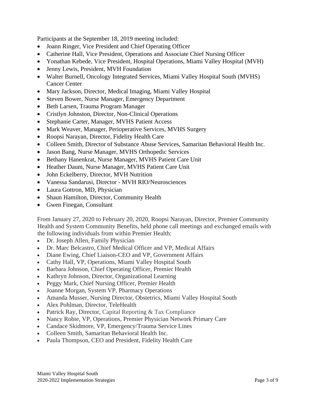Participants at the September 18, 2019 meeting included:

- Joann Ringer, Vice President and Chief Operating Officer
- Catherine Hall, Vice President, Operations and Associate Chief Nursing Officer
- Yonathan Kebede, Vice President, Hospital Operations, Miami Valley Hospital (MVH)
- Jenny Lewis, President, MVH Foundation
- Walter Burnell, Oncology Integrated Services, Miami Valley Hospital South (MVHS) Cancer Center
- Mary Jackson, Director, Medical Imaging, Miami Valley Hospital
- Steven Bower, Nurse Manager, Emergency Department
- Beth Larsen, Trauma Program Manager
- Cristlyn Johnston, Director, Non-Clinical Operations
- Stephanie Carter, Manager, MVHS Patient Access
- Mark Weaver, Manager, Perioperative Services, MVHS Surgery
- Roopsi Narayan, Director, Fidelity Health Care
- Colleen Smith, Director of Substance Abuse Services, Samaritan Behavioral Health Inc.
- Jason Bang, Nurse Manager, MVHS Orthopedic Services
- Bethany Hanenkrat, Nurse Manager, MVHS Patient Care Unit
- Heather Daum, Nurse Manager, MVHS Patient Care Unit
- John Eckelberry, Director, MVH Nutrition
- Vanessa Sandarusi, Director MVH RIO/Neurosciences
- Laura Gottron, MD, Physician
- Shaun Hamilton, Director, Community Health
- Gwen Finegan, Consultant

From January 27, 2020 to February 20, 2020, Roopsi Narayan, Director, Premier Community Health and System Community Benefits, held phone call meetings and exchanged emails with the following individuals from within Premier Health:

- Dr. Joseph Allen, Family Physician
- Dr. Marc Belcastro, Chief Medical Officer and VP, Medical Affairs
- Diane Ewing, Chief Liaison-CEO and VP, Government Affairs
- Cathy Hall, VP, Operations, Miami Valley Hospital South
- Barbara Johnson, Chief Operating Officer, Premier Health
- Kathryn Johnson, Director, Organizational Learning
- Peggy Mark, Chief Nursing Officer, Premier Health
- Joanne Morgan, System VP, Pharmacy Operations
- Amanda Musser, Nursing Director, Obstetrics, Miami Valley Hospital South
- Alex Pohlman, Director, TeleHealth
- Patrick Ray, Director, Capital Reporting & Tax Compliance
- Nancy Robie, VP, Operations, Premier Physician Network Primary Care
- Candace Skidmore, VP, Emergency/Trauma Service Lines
- Colleen Smith, Samaritan Behavioral Health Inc.
- Paula Thompson, CEO and President, Fidelity Health Care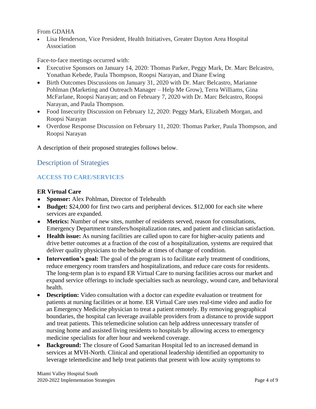From GDAHA

• Lisa Henderson, Vice President, Health Initiatives, Greater Dayton Area Hospital Association

Face-to-face meetings occurred with:

- Executive Sponsors on January 14, 2020: Thomas Parker, Peggy Mark, Dr. Marc Belcastro, Yonathan Kebede, Paula Thompson, Roopsi Narayan, and Diane Ewing
- Birth Outcomes Discussions on January 31, 2020 with Dr. Marc Belcastro, Marianne Pohlman (Marketing and Outreach Manager – Help Me Grow), Terra Williams, Gina McFarlane, Roopsi Narayan; and on February 7, 2020 with Dr. Marc Belcastro, Roopsi Narayan, and Paula Thompson.
- Food Insecurity Discussion on February 12, 2020: Peggy Mark, Elizabeth Morgan, and Roopsi Narayan
- Overdose Response Discussion on February 11, 2020: Thomas Parker, Paula Thompson, and Roopsi Narayan

A description of their proposed strategies follows below.

## Description of Strategies

#### **ACCESS TO CARE/SERVICES**

#### **ER Virtual Care**

- **Sponsor:** Alex Pohlman, Director of Telehealth
- **Budget:** \$24,000 for first two carts and peripheral devices. \$12,000 for each site where services are expanded.
- **Metrics:** Number of new sites, number of residents served, reason for consultations, Emergency Department transfers/hospitalization rates, and patient and clinician satisfaction.
- **Health issue:** As nursing facilities are called upon to care for higher-acuity patients and drive better outcomes at a fraction of the cost of a hospitalization, systems are required that deliver quality physicians to the bedside at times of change of condition.
- **Intervention's goal:** The goal of the program is to facilitate early treatment of conditions, reduce emergency room transfers and hospitalizations, and reduce care costs for residents. The long-term plan is to expand ER Virtual Care to nursing facilities across our market and expand service offerings to include specialties such as neurology, wound care, and behavioral health.
- **Description:** Video consultation with a doctor can expedite evaluation or treatment for patients at nursing facilities or at home. ER Virtual Care uses real-time video and audio for an Emergency Medicine physician to treat a patient remotely. By removing geographical boundaries, the hospital can leverage available providers from a distance to provide support and treat patients. This telemedicine solution can help address unnecessary transfer of nursing home and assisted living residents to hospitals by allowing access to emergency medicine specialists for after hour and weekend coverage.
- **Background:** The closure of Good Samaritan Hospital led to an increased demand in services at MVH-North. Clinical and operational leadership identified an opportunity to leverage telemedicine and help treat patients that present with low acuity symptoms to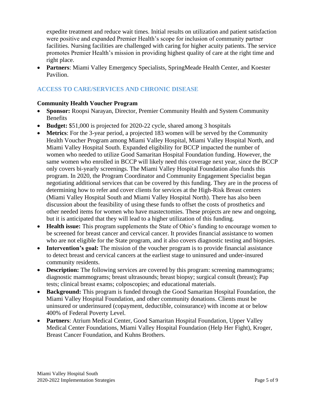expedite treatment and reduce wait times. Initial results on utilization and patient satisfaction were positive and expanded Premier Health's scope for inclusion of community partner facilities. Nursing facilities are challenged with caring for higher acuity patients. The service promotes Premier Health's mission in providing highest quality of care at the right time and right place.

• **Partners**: Miami Valley Emergency Specialists, SpringMeade Health Center, and Koester Pavilion.

## **ACCESS TO CARE/SERVICES AND CHRONIC DISEASE**

#### **Community Health Voucher Program**

- **Sponsor:** Roopsi Narayan, Director, Premier Community Health and System Community Benefits
- **Budget:** \$51,000 is projected for 2020-22 cycle, shared among 3 hospitals
- **Metrics**: For the 3-year period, a projected 183 women will be served by the Community Health Voucher Program among Miami Valley Hospital, Miami Valley Hospital North, and Miami Valley Hospital South. Expanded eligibility for BCCP impacted the number of women who needed to utilize Good Samaritan Hospital Foundation funding. However, the same women who enrolled in BCCP will likely need this coverage next year, since the BCCP only covers bi-yearly screenings. The Miami Valley Hospital Foundation also funds this program. In 2020, the Program Coordinator and Community Engagement Specialist began negotiating additional services that can be covered by this funding. They are in the process of determining how to refer and cover clients for services at the High-Risk Breast centers (Miami Valley Hospital South and Miami Valley Hospital North). There has also been discussion about the feasibility of using these funds to offset the costs of prosthetics and other needed items for women who have mastectomies. These projects are new and ongoing, but it is anticipated that they will lead to a higher utilization of this funding.
- **Health issue:** This program supplements the State of Ohio's funding to encourage women to be screened for breast cancer and cervical cancer. It provides financial assistance to women who are not eligible for the State program, and it also covers diagnostic testing and biopsies.
- **Intervention's goal:** The mission of the voucher program is to provide financial assistance to detect breast and cervical cancers at the earliest stage to uninsured and under-insured community residents.
- **Description:** The following services are covered by this program: screening mammograms; diagnostic mammograms; breast ultrasounds; breast biopsy; surgical consult (breast); Pap tests; clinical breast exams; colposcopies; and educational materials.
- **Background:** This program is funded through the Good Samaritan Hospital Foundation, the Miami Valley Hospital Foundation, and other community donations. Clients must be uninsured or underinsured (copayment, deductible, coinsurance) with income at or below 400% of Federal Poverty Level.
- **Partners**: Atrium Medical Center, Good Samaritan Hospital Foundation, Upper Valley Medical Center Foundations, Miami Valley Hospital Foundation (Help Her Fight), Kroger, Breast Cancer Foundation, and Kuhns Brothers.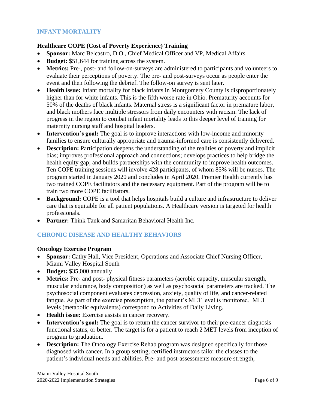## **INFANT MORTALITY**

#### **Healthcare COPE (Cost of Poverty Experience) Training**

- **Sponsor:** Marc Belcastro, D.O., Chief Medical Officer and VP, Medical Affairs
- **Budget:** \$51,644 for training across the system.
- **Metrics:** Pre-, post- and follow-on-surveys are administered to participants and volunteers to evaluate their perceptions of poverty. The pre- and post-surveys occur as people enter the event and then following the debrief. The follow-on survey is sent later.
- **Health issue:** Infant mortality for black infants in Montgomery County is disproportionately higher than for white infants. This is the fifth worse rate in Ohio. Prematurity accounts for 50% of the deaths of black infants. Maternal stress is a significant factor in premature labor, and black mothers face multiple stressors from daily encounters with racism. The lack of progress in the region to combat infant mortality leads to this deeper level of training for maternity nursing staff and hospital leaders.
- **Intervention's goal:** The goal is to improve interactions with low-income and minority families to ensure culturally appropriate and trauma-informed care is consistently delivered.
- **Description:** Participation deepens the understanding of the realities of poverty and implicit bias; improves professional approach and connections; develops practices to help bridge the health equity gap; and builds partnerships with the community to improve health outcomes. Ten COPE training sessions will involve 428 participants, of whom 85% will be nurses. The program started in January 2020 and concludes in April 2020. Premier Health currently has two trained COPE facilitators and the necessary equipment. Part of the program will be to train two more COPE facilitators.
- **Background:** COPE is a tool that helps hospitals build a culture and infrastructure to deliver care that is equitable for all patient populations. A Healthcare version is targeted for health professionals.
- **Partner:** Think Tank and Samaritan Behavioral Health Inc.

## **CHRONIC DISEASE AND HEALTHY BEHAVIORS**

#### **Oncology Exercise Program**

- **Sponsor:** Cathy Hall, Vice President, Operations and Associate Chief Nursing Officer, Miami Valley Hospital South
- **Budget:** \$35,000 annually
- **Metrics:** Pre- and post- physical fitness parameters (aerobic capacity, muscular strength, muscular endurance, body composition) as well as psychosocial parameters are tracked. The psychosocial component evaluates depression, anxiety, quality of life, and cancer-related fatigue. As part of the exercise prescription, the patient's MET level is monitored. MET levels (metabolic equivalents) correspond to Activities of Daily Living.
- **Health issue:** Exercise assists in cancer recovery.
- **Intervention's goal:** The goal is to return the cancer survivor to their pre-cancer diagnosis functional status, or better. The target is for a patient to reach 2 MET levels from inception of program to graduation.
- **Description:** The Oncology Exercise Rehab program was designed specifically for those diagnosed with cancer. In a group setting, certified instructors tailor the classes to the patient's individual needs and abilities. Pre- and post-assessments measure strength,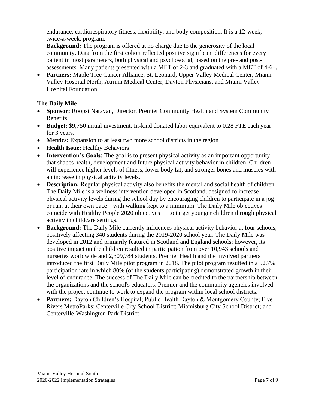endurance, cardiorespiratory fitness, flexibility, and body composition. It is a 12-week, twice-a-week, program.

**Background:** The program is offered at no charge due to the generosity of the local community. Data from the first cohort reflected positive significant differences for every patient in most parameters, both physical and psychosocial, based on the pre- and postassessments. Many patients presented with a MET of 2-3 and graduated with a MET of 4-6+.

• **Partners:** Maple Tree Cancer Alliance, St. Leonard, Upper Valley Medical Center, Miami Valley Hospital North, Atrium Medical Center, Dayton Physicians, and Miami Valley Hospital Foundation

### **The Daily Mile**

- **Sponsor:** Roopsi Narayan, Director, Premier Community Health and System Community Benefits
- **Budget:** \$9,750 initial investment. In-kind donated labor equivalent to 0.28 FTE each year for 3 years.
- **Metrics:** Expansion to at least two more school districts in the region
- **Health Issue:** Healthy Behaviors
- **Intervention's Goals:** The goal is to present physical activity as an important opportunity that shapes health, development and future physical activity behavior in children. Children will experience higher levels of fitness, lower body fat, and stronger bones and muscles with an increase in physical activity levels.
- **Description:** Regular physical activity also benefits the mental and social health of children. The Daily Mile is a wellness intervention developed in Scotland, designed to increase physical activity levels during the school day by encouraging children to participate in a jog or run, at their own pace – with walking kept to a minimum. The Daily Mile objectives coincide with Healthy People 2020 objectives — to target younger children through physical activity in childcare settings.
- **Background:** The Daily Mile currently influences physical activity behavior at four schools, positively affecting 340 students during the 2019-2020 school year. The Daily Mile was developed in 2012 and primarily featured in Scotland and England schools; however, its positive impact on the children resulted in participation from over 10,943 schools and nurseries worldwide and 2,309,784 students. Premier Health and the involved partners introduced the first Daily Mile pilot program in 2018. The pilot program resulted in a 52.7% participation rate in which 80% (of the students participating) demonstrated growth in their level of endurance. The success of The Daily Mile can be credited to the partnership between the organizations and the school's educators. Premier and the community agencies involved with the project continue to work to expand the program within local school districts.
- **Partners:** Dayton Children's Hospital; Public Health Dayton & Montgomery County; Five Rivers MetroParks; Centerville City School District; Miamisburg City School District; and Centerville-Washington Park District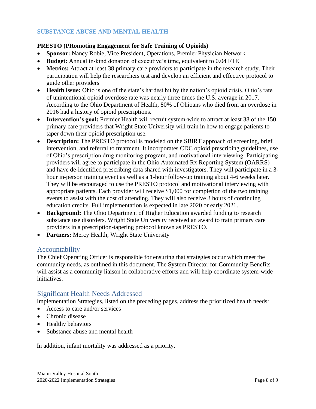## **SUBSTANCE ABUSE AND MENTAL HEALTH**

#### **PRESTO (PRomoting Engagement for Safe Training of Opioids)**

- **Sponsor:** Nancy Robie, Vice President, Operations, Premier Physician Network
- **Budget:** Annual in-kind donation of executive's time, equivalent to 0.04 FTE
- **Metrics:** Attract at least 38 primary care providers to participate in the research study. Their participation will help the researchers test and develop an efficient and effective protocol to guide other providers
- **Health issue:** Ohio is one of the state's hardest hit by the nation's opioid crisis. Ohio's rate of unintentional opioid overdose rate was nearly three times the U.S. average in 2017. According to the Ohio Department of Health, 80% of Ohioans who died from an overdose in 2016 had a history of opioid prescriptions.
- **Intervention's goal:** Premier Health will recruit system-wide to attract at least 38 of the 150 primary care providers that Wright State University will train in how to engage patients to taper down their opioid prescription use.
- **Description:** The PRESTO protocol is modeled on the SBIRT approach of screening, brief intervention, and referral to treatment. It incorporates CDC opioid prescribing guidelines, use of Ohio's prescription drug monitoring program, and motivational interviewing. Participating providers will agree to participate in the Ohio Automated Rx Reporting System (OARRS) and have de-identified prescribing data shared with investigators. They will participate in a 3 hour in-person training event as well as a 1-hour follow-up training about 4-6 weeks later. They will be encouraged to use the PRESTO protocol and motivational interviewing with appropriate patients. Each provider will receive \$1,000 for completion of the two training events to assist with the cost of attending. They will also receive 3 hours of continuing education credits. Full implementation is expected in late 2020 or early 2021.
- **Background:** The Ohio Department of Higher Education awarded funding to research substance use disorders. Wright State University received an award to train primary care providers in a prescription-tapering protocol known as PRESTO.
- **Partners:** Mercy Health, Wright State University

#### Accountability

The Chief Operating Officer is responsible for ensuring that strategies occur which meet the community needs, as outlined in this document. The System Director for Community Benefits will assist as a community liaison in collaborative efforts and will help coordinate system-wide initiatives.

# Significant Health Needs Addressed

Implementation Strategies, listed on the preceding pages, address the prioritized health needs:

- Access to care and/or services
- Chronic disease
- Healthy behaviors
- Substance abuse and mental health

In addition, infant mortality was addressed as a priority.